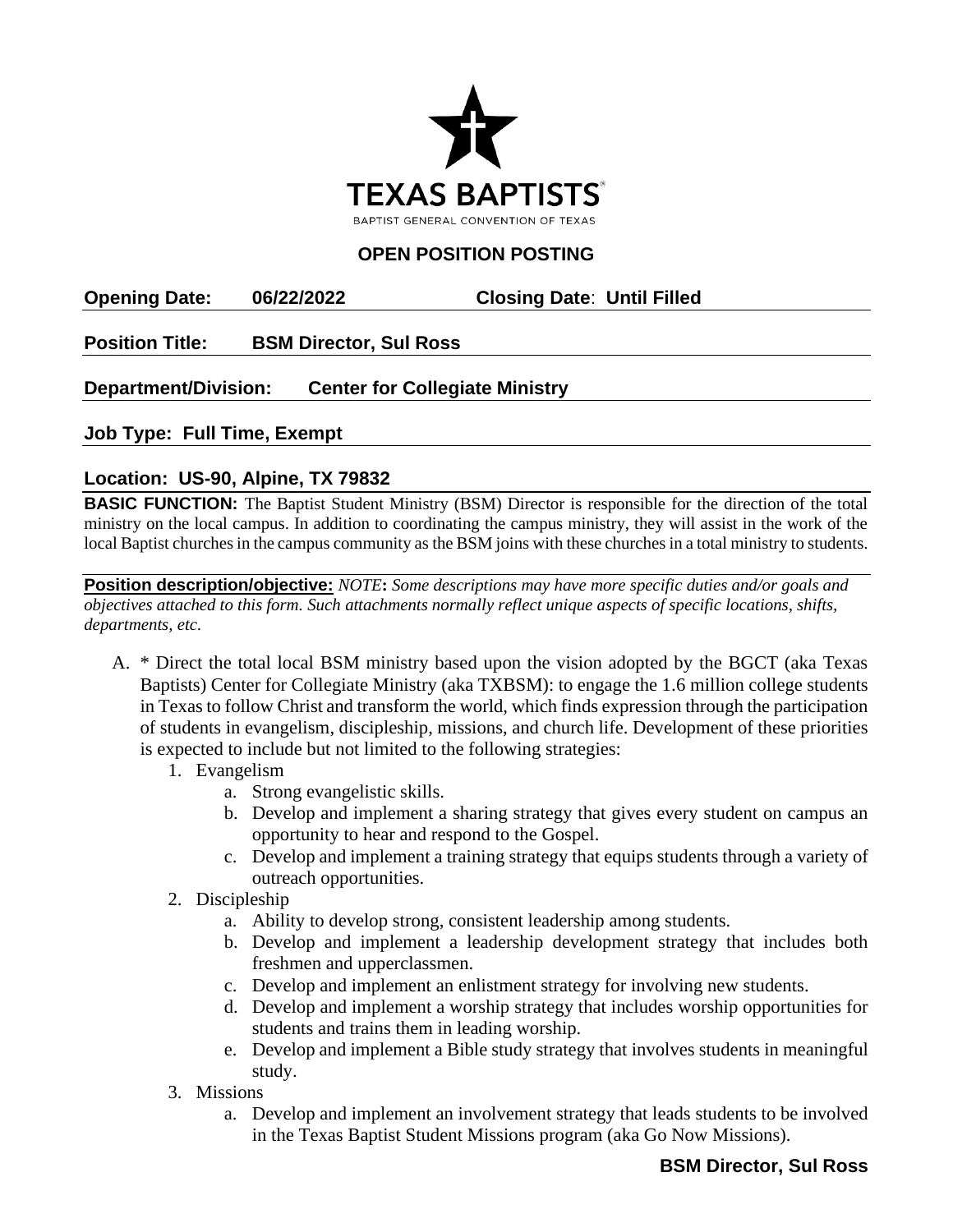

## **OPEN POSITION POSTING**

**Opening Date: 06/22/2022 Closing Date**: **Until Filled**

**Position Title: BSM Director, Sul Ross**

## **Department/Division: Center for Collegiate Ministry**

**Job Type: Full Time, Exempt**

## **Location: US-90, Alpine, TX 79832**

**BASIC FUNCTION:** The Baptist Student Ministry (BSM) Director is responsible for the direction of the total ministry on the local campus. In addition to coordinating the campus ministry, they will assist in the work of the local Baptist churches in the campus community as the BSM joins with these churches in a total ministry to students.

**Position description/objective:** *NOTE***:** *Some descriptions may have more specific duties and/or goals and objectives attached to this form. Such attachments normally reflect unique aspects of specific locations, shifts, departments, etc.* 

- A. \* Direct the total local BSM ministry based upon the vision adopted by the BGCT (aka Texas Baptists) Center for Collegiate Ministry (aka TXBSM): to engage the 1.6 million college students in Texas to follow Christ and transform the world, which finds expression through the participation of students in evangelism, discipleship, missions, and church life. Development of these priorities is expected to include but not limited to the following strategies:
	- 1. Evangelism
		- a. Strong evangelistic skills.
		- b. Develop and implement a sharing strategy that gives every student on campus an opportunity to hear and respond to the Gospel.
		- c. Develop and implement a training strategy that equips students through a variety of outreach opportunities.
	- 2. Discipleship
		- a. Ability to develop strong, consistent leadership among students.
		- b. Develop and implement a leadership development strategy that includes both freshmen and upperclassmen.
		- c. Develop and implement an enlistment strategy for involving new students.
		- d. Develop and implement a worship strategy that includes worship opportunities for students and trains them in leading worship.
		- e. Develop and implement a Bible study strategy that involves students in meaningful study.
	- 3. Missions
		- a. Develop and implement an involvement strategy that leads students to be involved in the Texas Baptist Student Missions program (aka Go Now Missions).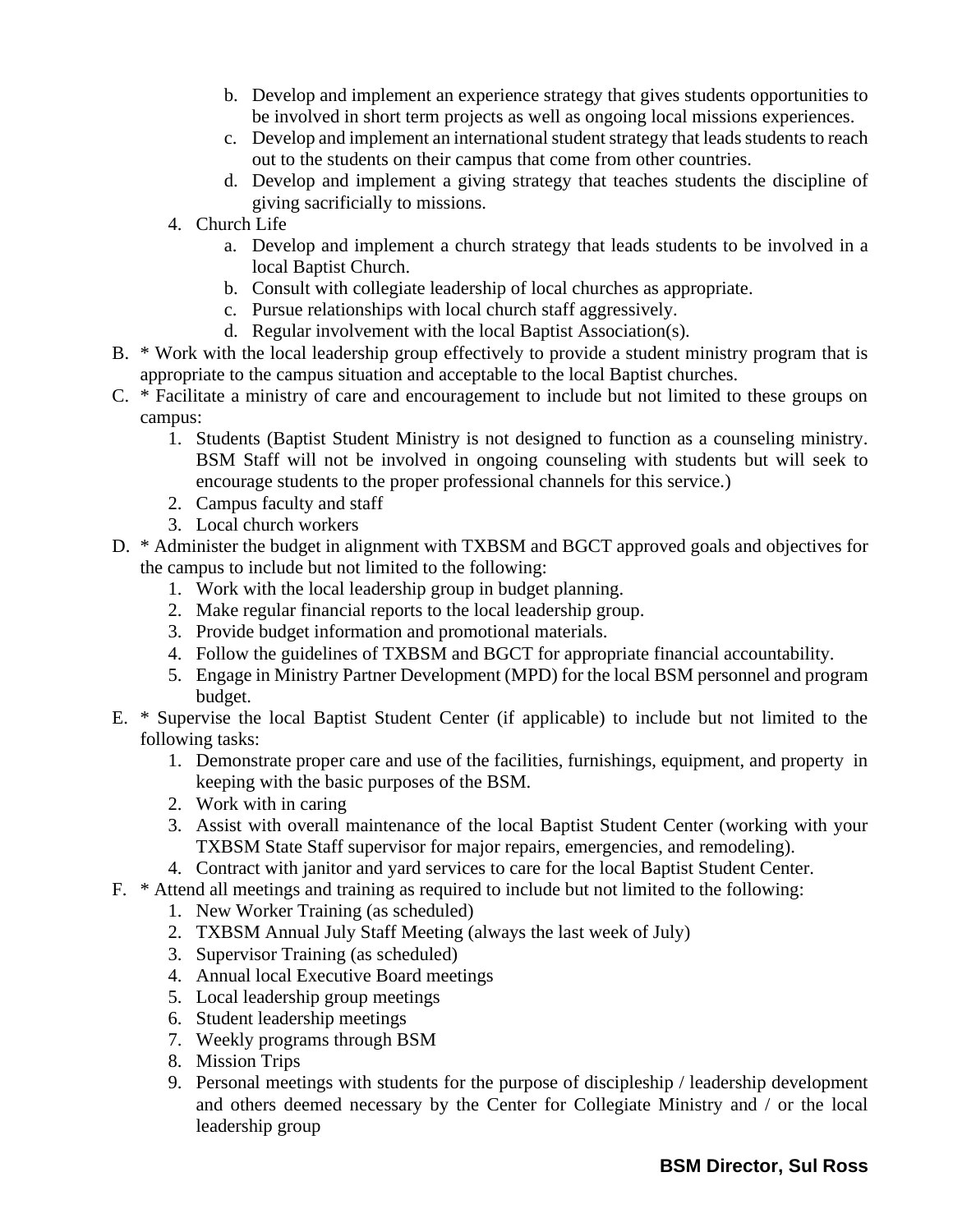- b. Develop and implement an experience strategy that gives students opportunities to be involved in short term projects as well as ongoing local missions experiences.
- c. Develop and implement an international student strategy that leads students to reach out to the students on their campus that come from other countries.
- d. Develop and implement a giving strategy that teaches students the discipline of giving sacrificially to missions.
- 4. Church Life
	- a. Develop and implement a church strategy that leads students to be involved in a local Baptist Church.
	- b. Consult with collegiate leadership of local churches as appropriate.
	- c. Pursue relationships with local church staff aggressively.
	- d. Regular involvement with the local Baptist Association(s).
- B. \* Work with the local leadership group effectively to provide a student ministry program that is appropriate to the campus situation and acceptable to the local Baptist churches.
- C. \* Facilitate a ministry of care and encouragement to include but not limited to these groups on campus:
	- 1. Students (Baptist Student Ministry is not designed to function as a counseling ministry. BSM Staff will not be involved in ongoing counseling with students but will seek to encourage students to the proper professional channels for this service.)
	- 2. Campus faculty and staff
	- 3. Local church workers
- D. \* Administer the budget in alignment with TXBSM and BGCT approved goals and objectives for the campus to include but not limited to the following:
	- 1. Work with the local leadership group in budget planning.
	- 2. Make regular financial reports to the local leadership group.
	- 3. Provide budget information and promotional materials.
	- 4. Follow the guidelines of TXBSM and BGCT for appropriate financial accountability.
	- 5. Engage in Ministry Partner Development (MPD) for the local BSM personnel and program budget.
- E. \* Supervise the local Baptist Student Center (if applicable) to include but not limited to the following tasks:
	- 1. Demonstrate proper care and use of the facilities, furnishings, equipment, and property in keeping with the basic purposes of the BSM.
	- 2. Work with in caring
	- 3. Assist with overall maintenance of the local Baptist Student Center (working with your TXBSM State Staff supervisor for major repairs, emergencies, and remodeling).
	- 4. Contract with janitor and yard services to care for the local Baptist Student Center.
- F. \* Attend all meetings and training as required to include but not limited to the following:
	- 1. New Worker Training (as scheduled)
	- 2. TXBSM Annual July Staff Meeting (always the last week of July)
	- 3. Supervisor Training (as scheduled)
	- 4. Annual local Executive Board meetings
	- 5. Local leadership group meetings
	- 6. Student leadership meetings
	- 7. Weekly programs through BSM
	- 8. Mission Trips
	- 9. Personal meetings with students for the purpose of discipleship / leadership development and others deemed necessary by the Center for Collegiate Ministry and / or the local leadership group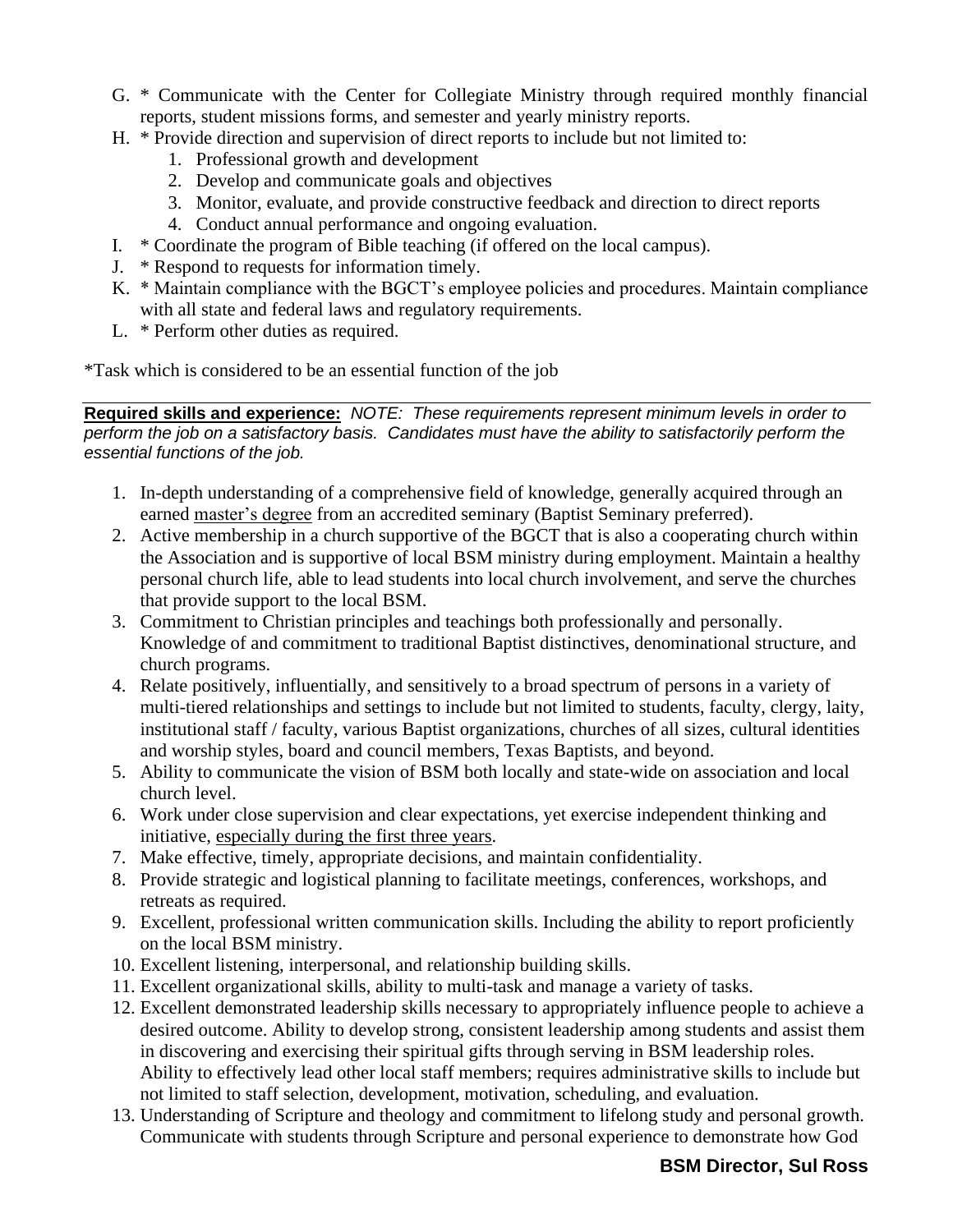- G. \* Communicate with the Center for Collegiate Ministry through required monthly financial reports, student missions forms, and semester and yearly ministry reports.
- H. \* Provide direction and supervision of direct reports to include but not limited to:
	- 1. Professional growth and development
	- 2. Develop and communicate goals and objectives
	- 3. Monitor, evaluate, and provide constructive feedback and direction to direct reports
	- 4. Conduct annual performance and ongoing evaluation.
- I. \* Coordinate the program of Bible teaching (if offered on the local campus).
- J. \* Respond to requests for information timely.
- K. \* Maintain compliance with the BGCT's employee policies and procedures. Maintain compliance with all state and federal laws and regulatory requirements.
- L. \* Perform other duties as required.

\*Task which is considered to be an essential function of the job

**Required skills and experience:** *NOTE: These requirements represent minimum levels in order to perform the job on a satisfactory basis. Candidates must have the ability to satisfactorily perform the essential functions of the job.*

- 1. In-depth understanding of a comprehensive field of knowledge, generally acquired through an earned master's degree from an accredited seminary (Baptist Seminary preferred).
- 2. Active membership in a church supportive of the BGCT that is also a cooperating church within the Association and is supportive of local BSM ministry during employment. Maintain a healthy personal church life, able to lead students into local church involvement, and serve the churches that provide support to the local BSM.
- 3. Commitment to Christian principles and teachings both professionally and personally. Knowledge of and commitment to traditional Baptist distinctives, denominational structure, and church programs.
- 4. Relate positively, influentially, and sensitively to a broad spectrum of persons in a variety of multi-tiered relationships and settings to include but not limited to students, faculty, clergy, laity, institutional staff / faculty, various Baptist organizations, churches of all sizes, cultural identities and worship styles, board and council members, Texas Baptists, and beyond.
- 5. Ability to communicate the vision of BSM both locally and state-wide on association and local church level.
- 6. Work under close supervision and clear expectations, yet exercise independent thinking and initiative, especially during the first three years.
- 7. Make effective, timely, appropriate decisions, and maintain confidentiality.
- 8. Provide strategic and logistical planning to facilitate meetings, conferences, workshops, and retreats as required.
- 9. Excellent, professional written communication skills. Including the ability to report proficiently on the local BSM ministry.
- 10. Excellent listening, interpersonal, and relationship building skills.
- 11. Excellent organizational skills, ability to multi-task and manage a variety of tasks.
- 12. Excellent demonstrated leadership skills necessary to appropriately influence people to achieve a desired outcome. Ability to develop strong, consistent leadership among students and assist them in discovering and exercising their spiritual gifts through serving in BSM leadership roles. Ability to effectively lead other local staff members; requires administrative skills to include but not limited to staff selection, development, motivation, scheduling, and evaluation.
- 13. Understanding of Scripture and theology and commitment to lifelong study and personal growth. Communicate with students through Scripture and personal experience to demonstrate how God